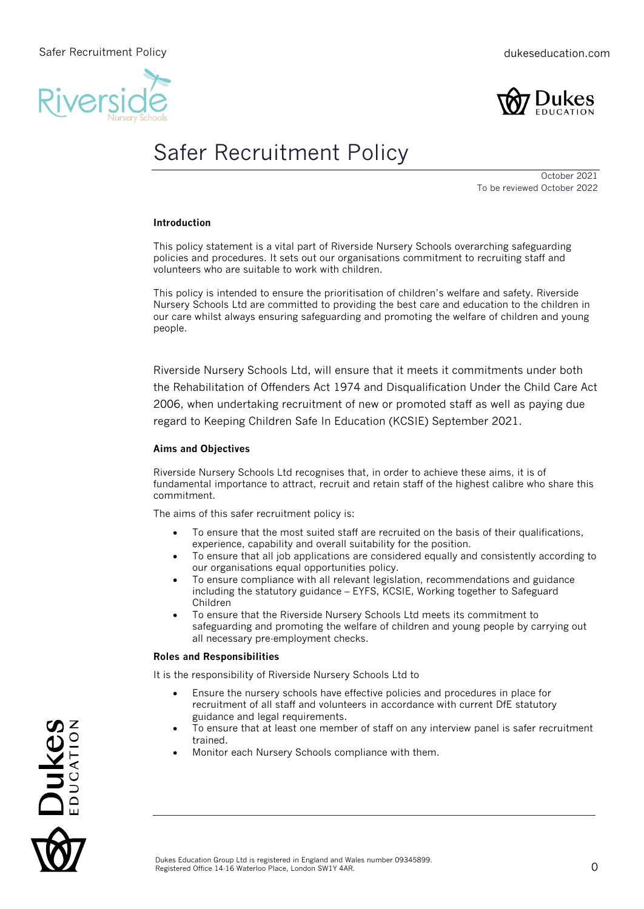vers



# Safer Recruitment Policy

October 2021 To be reviewed October 2022

### **Introduction**

This policy statement is a vital part of Riverside Nursery Schools overarching safeguarding policies and procedures. It sets out our organisations commitment to recruiting staff and volunteers who are suitable to work with children.

This policy is intended to ensure the prioritisation of children's welfare and safety. Riverside Nursery Schools Ltd are committed to providing the best care and education to the children in our care whilst always ensuring safeguarding and promoting the welfare of children and young people.

Riverside Nursery Schools Ltd, will ensure that it meets it commitments under both the Rehabilitation of Offenders Act 1974 and Disqualification Under the Child Care Act 2006, when undertaking recruitment of new or promoted staff as well as paying due regard to Keeping Children Safe In Education (KCSIE) September 2021.

# **Aims and Objectives**

Riverside Nursery Schools Ltd recognises that, in order to achieve these aims, it is of fundamental importance to attract, recruit and retain staff of the highest calibre who share this commitment.

The aims of this safer recruitment policy is:

- To ensure that the most suited staff are recruited on the basis of their qualifications, experience, capability and overall suitability for the position.
- To ensure that all job applications are considered equally and consistently according to our organisations equal opportunities policy.
- To ensure compliance with all relevant legislation, recommendations and guidance including the statutory guidance – EYFS, KCSIE, Working together to Safeguard Children
- To ensure that the Riverside Nursery Schools Ltd meets its commitment to safeguarding and promoting the welfare of children and young people by carrying out all necessary pre-employment checks.

# **Roles and Responsibilities**

It is the responsibility of Riverside Nursery Schools Ltd to

- Ensure the nursery schools have effective policies and procedures in place for recruitment of all staff and volunteers in accordance with current DfE statutory guidance and legal requirements.
- To ensure that at least one member of staff on any interview panel is safer recruitment trained.
- Monitor each Nursery Schools compliance with them.

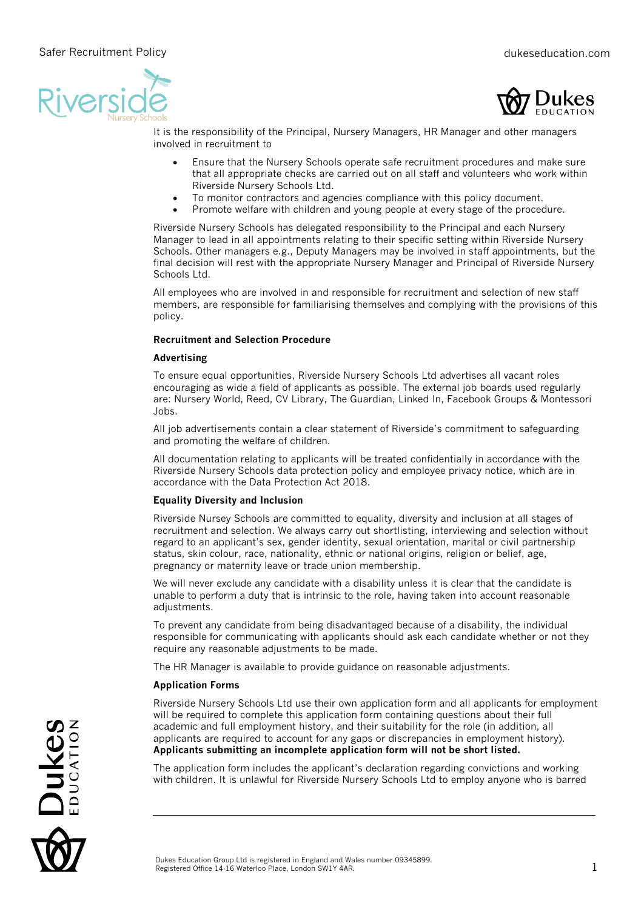



It is the responsibility of the Principal, Nursery Managers, HR Manager and other managers involved in recruitment to

- Ensure that the Nursery Schools operate safe recruitment procedures and make sure that all appropriate checks are carried out on all staff and volunteers who work within Riverside Nursery Schools Ltd.
- To monitor contractors and agencies compliance with this policy document.
- Promote welfare with children and young people at every stage of the procedure.

Riverside Nursery Schools has delegated responsibility to the Principal and each Nursery Manager to lead in all appointments relating to their specific setting within Riverside Nursery Schools. Other managers e.g., Deputy Managers may be involved in staff appointments, but the final decision will rest with the appropriate Nursery Manager and Principal of Riverside Nursery Schools Ltd.

All employees who are involved in and responsible for recruitment and selection of new staff members, are responsible for familiarising themselves and complying with the provisions of this policy.

#### **Recruitment and Selection Procedure**

#### **Advertising**

To ensure equal opportunities, Riverside Nursery Schools Ltd advertises all vacant roles encouraging as wide a field of applicants as possible. The external job boards used regularly are: Nursery World, Reed, CV Library, The Guardian, Linked In, Facebook Groups & Montessori Jobs.

All job advertisements contain a clear statement of Riverside's commitment to safeguarding and promoting the welfare of children.

All documentation relating to applicants will be treated confidentially in accordance with the Riverside Nursery Schools data protection policy and employee privacy notice, which are in accordance with the Data Protection Act 2018.

#### **Equality Diversity and Inclusion**

Riverside Nursey Schools are committed to equality, diversity and inclusion at all stages of recruitment and selection. We always carry out shortlisting, interviewing and selection without regard to an applicant's sex, gender identity, sexual orientation, marital or civil partnership status, skin colour, race, nationality, ethnic or national origins, religion or belief, age, pregnancy or maternity leave or trade union membership.

We will never exclude any candidate with a disability unless it is clear that the candidate is unable to perform a duty that is intrinsic to the role, having taken into account reasonable adjustments.

To prevent any candidate from being disadvantaged because of a disability, the individual responsible for communicating with applicants should ask each candidate whether or not they require any reasonable adjustments to be made.

The HR Manager is available to provide guidance on reasonable adjustments.

#### **Application Forms**

Riverside Nursery Schools Ltd use their own application form and all applicants for employment will be required to complete this application form containing questions about their full academic and full employment history, and their suitability for the role (in addition, all applicants are required to account for any gaps or discrepancies in employment history). **Applicants submitting an incomplete application form will not be short listed.** 

The application form includes the applicant's declaration regarding convictions and working with children. It is unlawful for Riverside Nursery Schools Ltd to employ anyone who is barred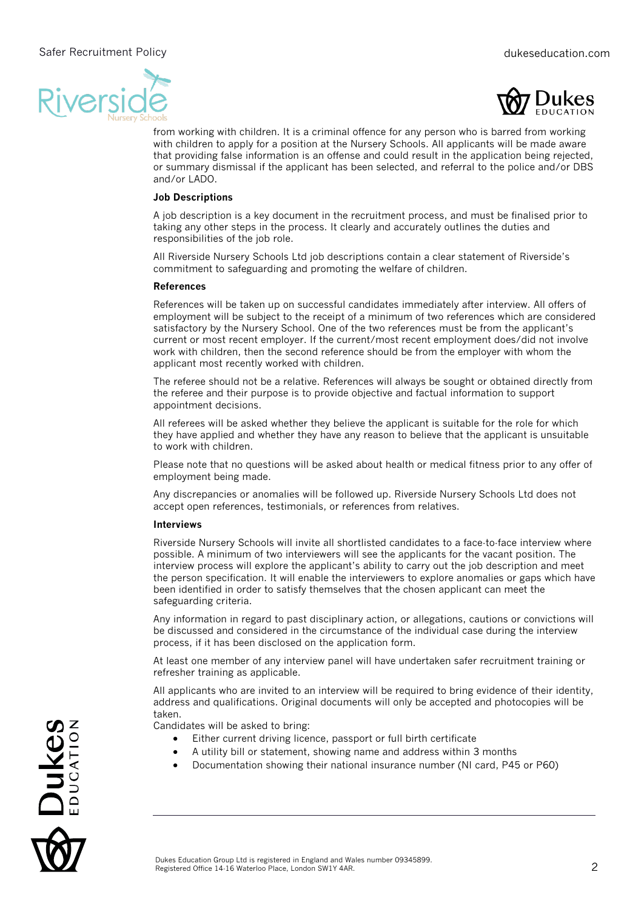



from working with children. It is a criminal offence for any person who is barred from working with children to apply for a position at the Nursery Schools. All applicants will be made aware that providing false information is an offense and could result in the application being rejected, or summary dismissal if the applicant has been selected, and referral to the police and/or DBS and/or LADO.

#### **Job Descriptions**

A job description is a key document in the recruitment process, and must be finalised prior to taking any other steps in the process. It clearly and accurately outlines the duties and responsibilities of the job role.

All Riverside Nursery Schools Ltd job descriptions contain a clear statement of Riverside's commitment to safeguarding and promoting the welfare of children.

#### **References**

References will be taken up on successful candidates immediately after interview. All offers of employment will be subject to the receipt of a minimum of two references which are considered satisfactory by the Nursery School. One of the two references must be from the applicant's current or most recent employer. If the current/most recent employment does/did not involve work with children, then the second reference should be from the employer with whom the applicant most recently worked with children.

The referee should not be a relative. References will always be sought or obtained directly from the referee and their purpose is to provide objective and factual information to support appointment decisions.

All referees will be asked whether they believe the applicant is suitable for the role for which they have applied and whether they have any reason to believe that the applicant is unsuitable to work with children.

Please note that no questions will be asked about health or medical fitness prior to any offer of employment being made.

Any discrepancies or anomalies will be followed up. Riverside Nursery Schools Ltd does not accept open references, testimonials, or references from relatives.

#### **Interviews**

Riverside Nursery Schools will invite all shortlisted candidates to a face-to-face interview where possible. A minimum of two interviewers will see the applicants for the vacant position. The interview process will explore the applicant's ability to carry out the job description and meet the person specification. It will enable the interviewers to explore anomalies or gaps which have been identified in order to satisfy themselves that the chosen applicant can meet the safeguarding criteria.

Any information in regard to past disciplinary action, or allegations, cautions or convictions will be discussed and considered in the circumstance of the individual case during the interview process, if it has been disclosed on the application form.

At least one member of any interview panel will have undertaken safer recruitment training or refresher training as applicable.

All applicants who are invited to an interview will be required to bring evidence of their identity, address and qualifications. Original documents will only be accepted and photocopies will be taken.

Candidates will be asked to bring:

- Either current driving licence, passport or full birth certificate
- A utility bill or statement, showing name and address within 3 months
- Documentation showing their national insurance number (NI card, P45 or P60)

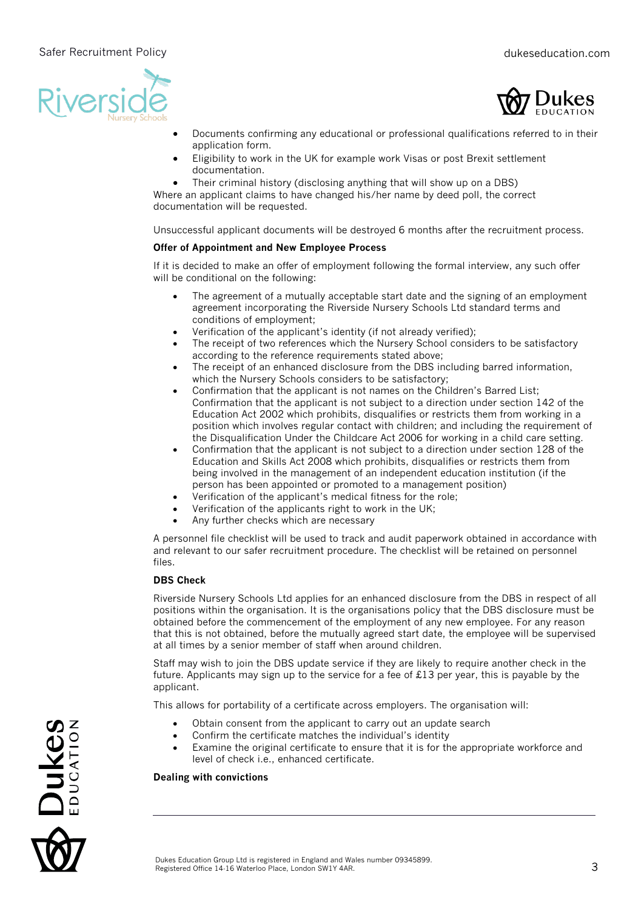



- Documents confirming any educational or professional qualifications referred to in their application form.
- Eligibility to work in the UK for example work Visas or post Brexit settlement documentation.
- Their criminal history (disclosing anything that will show up on a DBS)

Where an applicant claims to have changed his/her name by deed poll, the correct documentation will be requested.

Unsuccessful applicant documents will be destroyed 6 months after the recruitment process.

# **Offer of Appointment and New Employee Process**

If it is decided to make an offer of employment following the formal interview, any such offer will be conditional on the following:

- The agreement of a mutually acceptable start date and the signing of an employment agreement incorporating the Riverside Nursery Schools Ltd standard terms and conditions of employment;
- Verification of the applicant's identity (if not already verified);
- The receipt of two references which the Nursery School considers to be satisfactory according to the reference requirements stated above;
- The receipt of an enhanced disclosure from the DBS including barred information, which the Nursery Schools considers to be satisfactory;
- Confirmation that the applicant is not names on the Children's Barred List; Confirmation that the applicant is not subject to a direction under section 142 of the Education Act 2002 which prohibits, disqualifies or restricts them from working in a position which involves regular contact with children; and including the requirement of the Disqualification Under the Childcare Act 2006 for working in a child care setting.
- Confirmation that the applicant is not subject to a direction under section 128 of the Education and Skills Act 2008 which prohibits, disqualifies or restricts them from being involved in the management of an independent education institution (if the person has been appointed or promoted to a management position)
- Verification of the applicant's medical fitness for the role;
- Verification of the applicants right to work in the UK;
- Any further checks which are necessary

A personnel file checklist will be used to track and audit paperwork obtained in accordance with and relevant to our safer recruitment procedure. The checklist will be retained on personnel files.

# **DBS Check**

Riverside Nursery Schools Ltd applies for an enhanced disclosure from the DBS in respect of all positions within the organisation. It is the organisations policy that the DBS disclosure must be obtained before the commencement of the employment of any new employee. For any reason that this is not obtained, before the mutually agreed start date, the employee will be supervised at all times by a senior member of staff when around children.

Staff may wish to join the DBS update service if they are likely to require another check in the future. Applicants may sign up to the service for a fee of £13 per year, this is payable by the applicant.

This allows for portability of a certificate across employers. The organisation will:

- Obtain consent from the applicant to carry out an update search
- Confirm the certificate matches the individual's identity
- Examine the original certificate to ensure that it is for the appropriate workforce and level of check i.e., enhanced certificate.

# **Dealing with convictions**

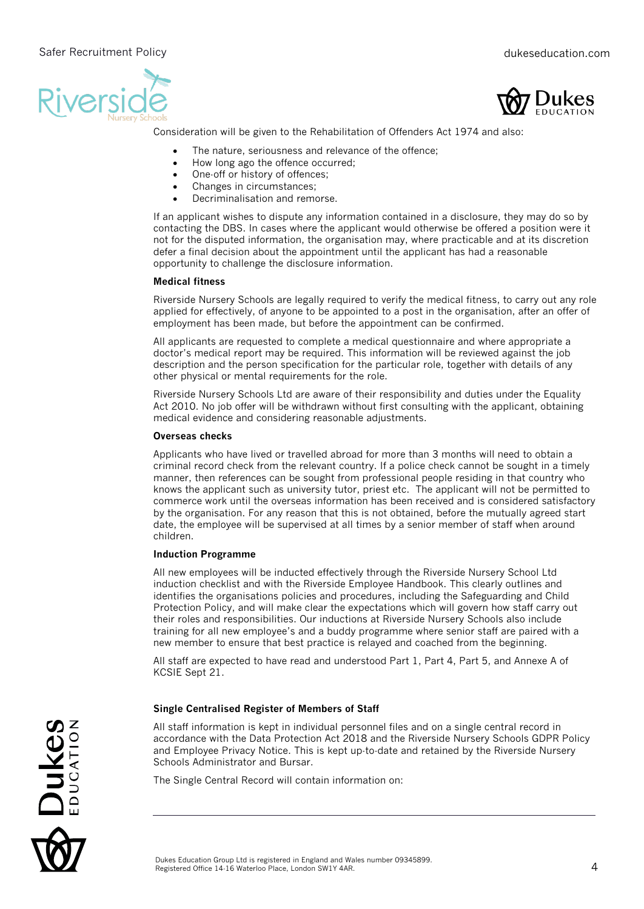



Consideration will be given to the Rehabilitation of Offenders Act 1974 and also:

- The nature, seriousness and relevance of the offence;
- How long ago the offence occurred;
- One-off or history of offences;
- Changes in circumstances;
- Decriminalisation and remorse.

If an applicant wishes to dispute any information contained in a disclosure, they may do so by contacting the DBS. In cases where the applicant would otherwise be offered a position were it not for the disputed information, the organisation may, where practicable and at its discretion defer a final decision about the appointment until the applicant has had a reasonable opportunity to challenge the disclosure information.

#### **Medical fitness**

Riverside Nursery Schools are legally required to verify the medical fitness, to carry out any role applied for effectively, of anyone to be appointed to a post in the organisation, after an offer of employment has been made, but before the appointment can be confirmed.

All applicants are requested to complete a medical questionnaire and where appropriate a doctor's medical report may be required. This information will be reviewed against the job description and the person specification for the particular role, together with details of any other physical or mental requirements for the role.

Riverside Nursery Schools Ltd are aware of their responsibility and duties under the Equality Act 2010. No job offer will be withdrawn without first consulting with the applicant, obtaining medical evidence and considering reasonable adjustments.

#### **Overseas checks**

Applicants who have lived or travelled abroad for more than 3 months will need to obtain a criminal record check from the relevant country. If a police check cannot be sought in a timely manner, then references can be sought from professional people residing in that country who knows the applicant such as university tutor, priest etc. The applicant will not be permitted to commerce work until the overseas information has been received and is considered satisfactory by the organisation. For any reason that this is not obtained, before the mutually agreed start date, the employee will be supervised at all times by a senior member of staff when around children.

# **Induction Programme**

All new employees will be inducted effectively through the Riverside Nursery School Ltd induction checklist and with the Riverside Employee Handbook. This clearly outlines and identifies the organisations policies and procedures, including the Safeguarding and Child Protection Policy, and will make clear the expectations which will govern how staff carry out their roles and responsibilities. Our inductions at Riverside Nursery Schools also include training for all new employee's and a buddy programme where senior staff are paired with a new member to ensure that best practice is relayed and coached from the beginning.

All staff are expected to have read and understood Part 1, Part 4, Part 5, and Annexe A of KCSIE Sept 21.

# **Single Centralised Register of Members of Staff**

All staff information is kept in individual personnel files and on a single central record in accordance with the Data Protection Act 2018 and the Riverside Nursery Schools GDPR Policy and Employee Privacy Notice. This is kept up-to-date and retained by the Riverside Nursery Schools Administrator and Bursar.

The Single Central Record will contain information on:

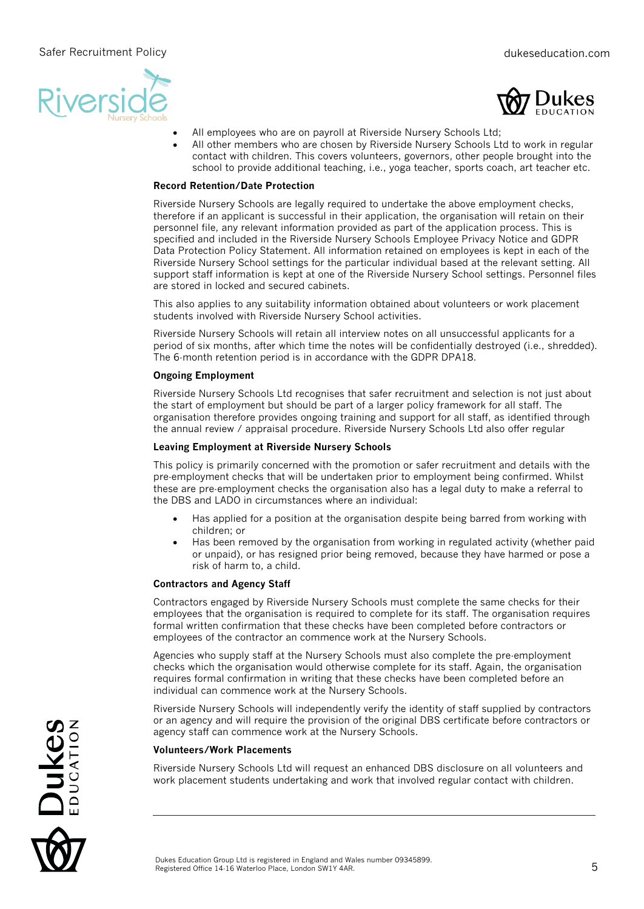



- All employees who are on payroll at Riverside Nursery Schools Ltd;
- All other members who are chosen by Riverside Nursery Schools Ltd to work in regular contact with children. This covers volunteers, governors, other people brought into the school to provide additional teaching, i.e., yoga teacher, sports coach, art teacher etc.

#### **Record Retention/Date Protection**

Riverside Nursery Schools are legally required to undertake the above employment checks, therefore if an applicant is successful in their application, the organisation will retain on their personnel file, any relevant information provided as part of the application process. This is specified and included in the Riverside Nursery Schools Employee Privacy Notice and GDPR Data Protection Policy Statement. All information retained on employees is kept in each of the Riverside Nursery School settings for the particular individual based at the relevant setting. All support staff information is kept at one of the Riverside Nursery School settings. Personnel files are stored in locked and secured cabinets.

This also applies to any suitability information obtained about volunteers or work placement students involved with Riverside Nursery School activities.

Riverside Nursery Schools will retain all interview notes on all unsuccessful applicants for a period of six months, after which time the notes will be confidentially destroyed (i.e., shredded). The 6-month retention period is in accordance with the GDPR DPA18.

# **Ongoing Employment**

Riverside Nursery Schools Ltd recognises that safer recruitment and selection is not just about the start of employment but should be part of a larger policy framework for all staff. The organisation therefore provides ongoing training and support for all staff, as identified through the annual review / appraisal procedure. Riverside Nursery Schools Ltd also offer regular

# **Leaving Employment at Riverside Nursery Schools**

This policy is primarily concerned with the promotion or safer recruitment and details with the pre-employment checks that will be undertaken prior to employment being confirmed. Whilst these are pre-employment checks the organisation also has a legal duty to make a referral to the DBS and LADO in circumstances where an individual:

- Has applied for a position at the organisation despite being barred from working with children; or
- Has been removed by the organisation from working in regulated activity (whether paid or unpaid), or has resigned prior being removed, because they have harmed or pose a risk of harm to, a child.

# **Contractors and Agency Staff**

Contractors engaged by Riverside Nursery Schools must complete the same checks for their employees that the organisation is required to complete for its staff. The organisation requires formal written confirmation that these checks have been completed before contractors or employees of the contractor an commence work at the Nursery Schools.

Agencies who supply staff at the Nursery Schools must also complete the pre-employment checks which the organisation would otherwise complete for its staff. Again, the organisation requires formal confirmation in writing that these checks have been completed before an individual can commence work at the Nursery Schools.

Riverside Nursery Schools will independently verify the identity of staff supplied by contractors or an agency and will require the provision of the original DBS certificate before contractors or agency staff can commence work at the Nursery Schools.

# **Volunteers/Work Placements**

Riverside Nursery Schools Ltd will request an enhanced DBS disclosure on all volunteers and work placement students undertaking and work that involved regular contact with children.